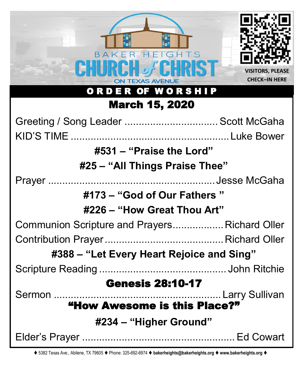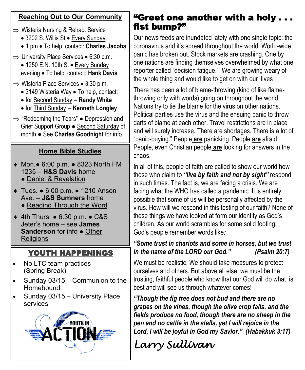## **Reaching Out to Our Community**

- $\Rightarrow$  Wisteria Nursing & Rehab. Service
	- 3202 S. Willis St Every Sunday
	- 1 pm To help, contact: **Charles Jacobs**
- $\Rightarrow$  University Place Services 6:30 p.m.
	- 1250 E.N. 10th St Every Sunday evening • To help, contact: **Hank Davis**
- $\Rightarrow$  Wisteria Place Services 3:30 p.m.
	- 3149 Wisteria Way To help, contact:
	- for Second Sunday − **Randy White**
	- for Third Sunday − **Kenneth Longley**
- $\Rightarrow$  "Redeeming the Tears"  $\bullet$  Depression and Grief Support Group ● Second Saturday of month ● See **Charles Goodnight** for info.

## **Home Bible Studies**

- Mon.● 6:00 p.m. 8323 North FM 1235 – **H&S Davis** home ● Daniel & Revelation
	-
- Tues. 6:00 p.m. 1210 Anson Ave. – **J&S Sumners** home
	- Reading Through the Word
- 4th Thurs. 6:30 p.m. C&S Jeter's home – see **James Sanderson** for info ● Other **Religions**

## YOUTH HAPPENINGS

- No LTC team practices (Spring Break)
- Sunday 03/15 Communion to the Homebound
- Sunday 03/15 University Place services



## "Greet one another with a holy . . . fist bump?"

Our news feeds are inundated lately with one single topic: the coronavirus and it's spread throughout the world. World-wide panic has broken out. Stock markets are crashing. One by one nations are finding themselves overwhelmed by what one reporter called "decision fatigue." We are growing weary of the whole thing and would like to get on with our lives

There has been a lot of blame-throwing (kind of like flamethrowing only with words) going on throughout the world. Nations try to tie the blame for the virus on other nations. Political parties use the virus and the ensuing panic to throw darts of blame at each other. Travel restrictions are in place and will surely increase. There are shortages. There is a lot of "panic-buying." People **are** panicking. People **are** afraid. People, even Christian people **are** looking for answers in the chaos.

In all of this, people of faith are called to show our world how those who claim to *"live by faith and not by sight"* respond in such times. The fact is, we are facing a crisis. We are facing what the WHO has called a pandemic. It is entirely possible that some of us will be personally affected by the virus. How will we respond in this testing of our faith? None of these things we have looked at form our identity as God's children. As our world scrambles for some solid footing, God's people remember words like*:* 

## *"Some trust in chariots and some in horses, but we trust in the name of the LORD our God." (Psalm 20:7)*

We must be realistic. We should take measures to protect ourselves and others. But above all else, we must be the trusting, faithful people who know that our God will do what is best and will see us through whatever comes!

*"Though the fig tree does not bud and there are no grapes on the vines, though the olive crop fails, and the fields produce no food, though there are no sheep in the pen and no cattle in the stalls, yet I will rejoice in the Lord, I will be joyful in God my Savior." (Habakkuk 3:17)*

# *Larry Sullivan*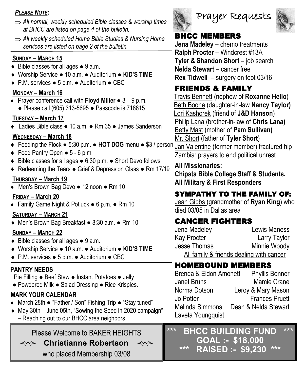## *PLEASE NOTE:*

- *All normal, weekly scheduled Bible classes & worship times at BHCC are listed on page 4 of the bulletin.*
- *All weekly scheduled Home Bible Studies & Nursing Home services are listed on page 2 of the bulletin.*

### **SUNDAY – MARCH 15**

- $\bullet$  Bible classes for all ages  $\bullet$  9 a.m.
- Worship Service 10 a.m. Auditorium **KID'S TIME**
- P.M. services 5 p.m. Auditorium CBC

## **MONDAY – March 16**

 Prayer conference call with **Floyd Miller** ● 8 – 9 p.m. ● Please call (605) 313-5695 ● Passcode is 718815

## **TUESDAY – March 17**

Ladies Bible class ● 10 a.m. ● Rm 35 ● James Sanderson

## **WEDNESDAY – March 18**

- Feeding the Flock 5:30 p.m. **HOT DOG** menu \$3 / person Jan Valentine (former member) fractured hip
- Food Pantry Open 5 6 p.m.
- Bible classes for all ages 6:30 p.m. Short Devo follows
- ◆ Redeeming the Tears Grief & Depression Class Rm 17/19

#### **THURSDAY – March 19**

Men's Brown Bag Devo ● 12 noon ● Rm 10

#### **FRIDAY – March 20**

Family Game Night & Potluck ● 6 p.m. ● Rm 10

### **SATURDAY – MARCH 21**

Men's Brown Bag Breakfast ● 8:30 a.m. ● Rm 10

## **SUNDAY – MARCH 22**

- $\bullet$  Bible classes for all ages  $\bullet$  9 a.m.
- Worship Service 10 a.m. Auditorium **KID'S TIME**
- P.M. services 5 p.m. Auditorium CBC

## **PANTRY NEEDS**

Pie Filling ● Beef Stew ● Instant Potatoes ● Jelly ● Powdered Milk ● Salad Dressing ● Rice Krispies.

## **MARK YOUR CALENDAR**

- March 28th "Father / Son" Fishing Trip "Stay tuned"
- ◆ May 30th June 05th, "Sowing the Seed in 2020 campaign" – Reaching out to our BHCC area neighbors

## Please Welcome to BAKER HEIGHTS

**Christianne Robertson**

who placed Membership 03/08





## BHCC MEMBERS

**Jena Madeley** – chemo treatments **Ralph Procter** – Windcrest #13A **Tyler & Shandon Short** – job search **Nelda Stewart** – cancer free **Rex Tidwell** – surgery on foot 03/16

## FRIENDS & FAMILY

Travis Bennett (nephew of **Roxanne Hello**) Beth Boone (daughter-in-law **Nancy Taylor)** Lori Kashorek (friend of **J&D Hanson**) Philip Lana (brother-in-law of **Chris Lana)** Betty Mast (mother of **Pam Sullivan)** Mr. Short (father of **Tyler Short**)

Zambia: prayers to end political unrest

## **All Missionaries:**

**Chipata Bible College Staff & Students. All Military & First Responders**

## SYMPATHY TO THE FAMILY OF:

Jean Gibbs (grandmother of **Ryan King**) who died 03/05 in Dallas area

## CANCER FIGHTERS

| Jena Madeley                             | Lewis Maness |
|------------------------------------------|--------------|
| Kay Procter                              | Larry Taylor |
| Jesse Thomas                             | Minnie Woody |
| All family & friends dealing with cancer |              |

## HOMEBOUND MEMBERS

| Brenda & Eldon Amonett | <b>Phyllis Bonner</b> |
|------------------------|-----------------------|
| <b>Janet Bruns</b>     | Mamie Crane           |
| Norma Dotson           | Leroy & Mary Mason    |
| Jo Potter              | <b>Frances Pruett</b> |
| Melinda Simmons        | Dean & Nelda Stewart  |
| Laveta Youngquist      |                       |

**\*\*\* BHCC BUILDING FUND \*\*\* GOAL :- \$18,000 \*\*\* RAISED :- \$9,230 \*\*\***